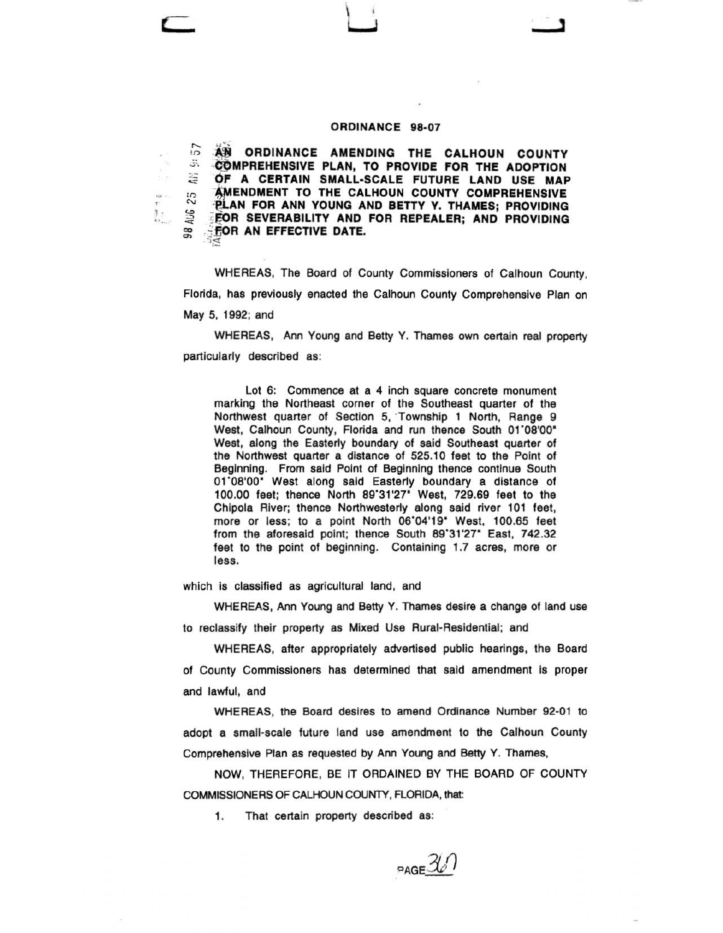## **ORDINANCE 98-07**

 $\overline{AB}$  **ORDINANCE AMENDING THE CALHOUN COUNTY COMPREHENSIVE PLAN, TO PROVIDE FOR THE ADOPTION** <br>  $\Xi$  **OF A CERTAIN SMALL-SCALE FUTURE LAND USE MAP 'OF A CERTAIN SMALL-SCALE FUTURE LAND USE MAP ENENDMENT TO THE CALHOUN COUNTY COMPREHENSIVE**  $\frac{N}{n}$  **PLAN FOR ANN YOUNG AND BETTY Y. THAMES; PROVIDING** <br> $\frac{N}{n}$  **PEOR SEVERABILITY AND FOR REPEALER; AND PROVIDING FOR SEVERABILITY AND FOR REPEALER; AND PROVIDING** ~ .fiOR **AN EFFECTIVE DATE.**  *-1,"3;* 

WHEREAS, The Board of County Commissioners of Calhoun County, Florida, has previously enacted the Calhoun County Comprehensive Plan on May 5, 1992; and

WHEREAS, Ann Young and Betty Y. Thames own certain real property particularly described as:

Lot 6: Commence at a 4 inch square concrete monument marking the Northeast corner of the Southeast quarter of the Northwest quarter of Section 5, Township 1 North, Range 9 West, Calhoun County, Florida and run thence South 01'08'00" West, along the Easterly boundary of said Southeast quarter of the Northwest quarter a distance of 525.10 feet to the Point of Beginning. From said Point of Beginning thence continue South 01'08'00" West along said Easterly boundary a distance of 100.00 feet; thence North 89'31'27" West, 729.69 feet to the Chipola River; thence Northwesterly along said river 101 feet, more or less; to a point North 06'04'19" West, 100.65 feet from the aforesaid point; thence South 89'31'27" East, 742.32 feet to the point of beginning. Containing 1.7 acres, more or less.

which is classified as agricultural land, and

l .

WHEREAS, Ann Young and Betty Y. Thames desire a change of land use to reclassify their property as Mixed Use Rural-Residential; and

WHEREAS, after appropriately advertised public hearings, the Board of County Commissioners has determined that said amendment is proper and lawful, and

WHEREAS, the Board desires to amend Ordinance Number 92-01 to adopt a small-scale future land use amendment to the Calhoun County Comprehensive Plan as requested by Ann Young and Betty Y. Thames,

NOW, THEREFORE, BE IT ORDAINED BY THE BOARD OF COUNTY COMMISSIONERS OF CALHOUN COUNTY, FLORIDA, that:

1. That certain property described as:

PAGE  $\mathcal{H}$